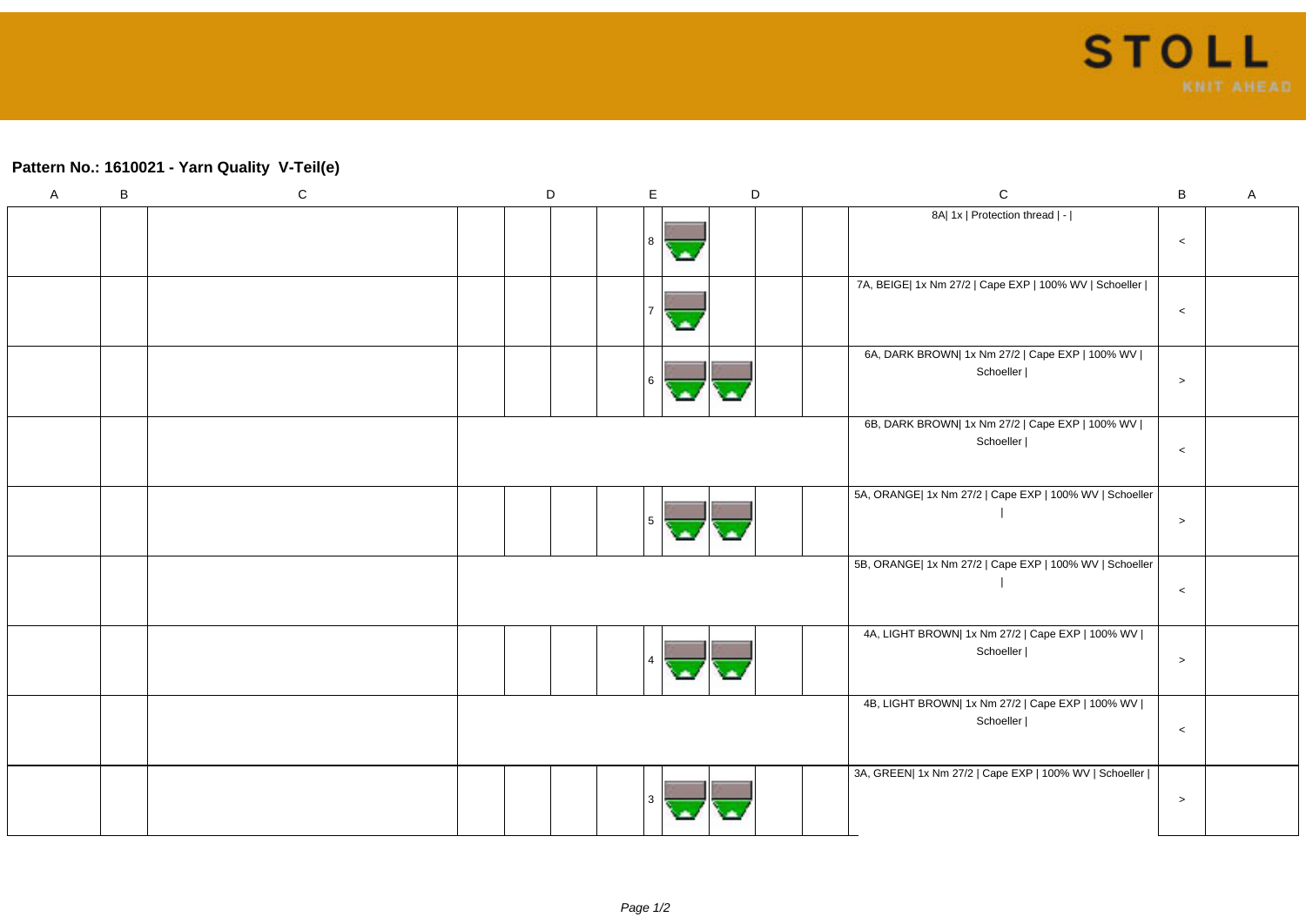## **Pattern No.: 1610021 - Yarn Quality V-Teil(e)**

| $\mathsf{A}$ | $\, {\sf B}$ | ${\bf C}$ | D | $\mathsf E$ |    | $\mathsf D$ | $\mathsf C$                                                     | $\sf{B}$ | $\mathsf A$ |
|--------------|--------------|-----------|---|-------------|----|-------------|-----------------------------------------------------------------|----------|-------------|
|              |              |           |   | 8 ا         | a. |             | 8A  1x   Protection thread   -                                  | $\,<$    |             |
|              |              |           |   |             | ٠  |             | 7A, BEIGE  1x Nm 27/2   Cape EXP   100% WV   Schoeller          | $\,<$    |             |
|              |              |           |   | l 6         |    |             | 6A, DARK BROWN  1x Nm 27/2   Cape EXP   100% WV  <br>Schoeller  | $\,>$    |             |
|              |              |           |   |             |    |             | 6B, DARK BROWN  1x Nm 27/2   Cape EXP   100% WV  <br>Schoeller  | $\,<$    |             |
|              |              |           |   | 5           |    |             | 5A, ORANGE  1x Nm 27/2   Cape EXP   100% WV   Schoeller         | $\,>$    |             |
|              |              |           |   |             |    |             | 5B, ORANGE  1x Nm 27/2   Cape EXP   100% WV   Schoeller         | $\,<$    |             |
|              |              |           |   |             |    |             | 4A, LIGHT BROWN  1x Nm 27/2   Cape EXP   100% WV  <br>Schoeller | $\geq$   |             |
|              |              |           |   |             |    |             | 4B, LIGHT BROWN  1x Nm 27/2   Cape EXP   100% WV  <br>Schoeller | $\,<$    |             |
|              |              |           |   |             |    |             | 3A, GREEN  1x Nm 27/2   Cape EXP   100% WV   Schoeller          | $\,>$    |             |